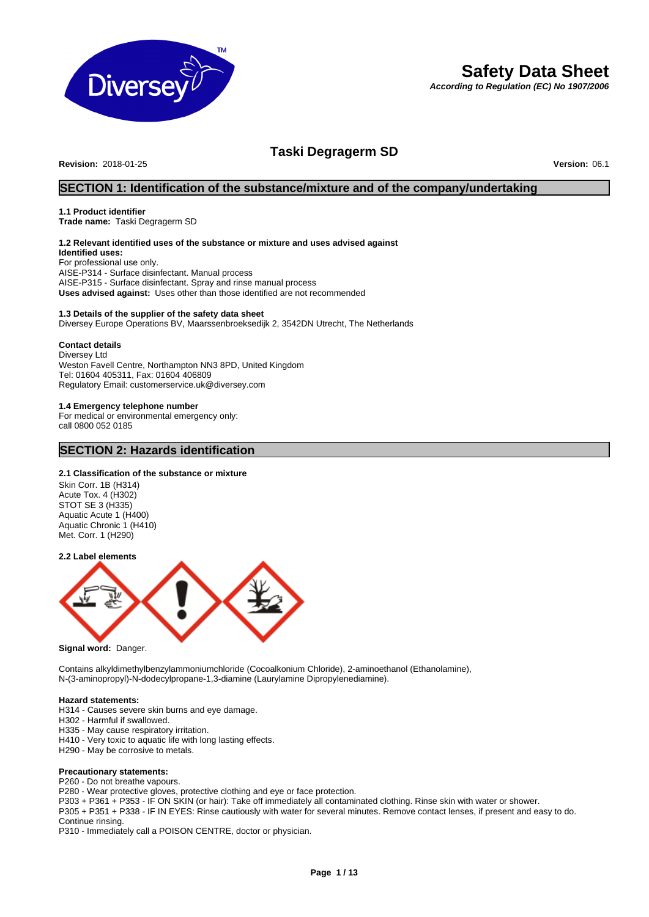

# **Safety Data Sheet**

*According to Regulation (EC) No 1907/2006*

# **Taski Degragerm SD**

**Revision:** 2018-01-25 **Version:** 06.1

# **SECTION 1: Identification of the substance/mixture and of the company/undertaking**

#### **1.1 Product identifier**

**Trade name:** Taski Degragerm SD

# **1.2 Relevant identified uses of the substance or mixture and uses advised against**

**Identified uses:** For professional use only. AISE-P314 - Surface disinfectant. Manual process AISE-P315 - Surface disinfectant. Spray and rinse manual process **Uses advised against:** Uses other than those identified are not recommended

#### **1.3 Details of the supplier of the safety data sheet**

Diversey Europe Operations BV, Maarssenbroeksedijk 2, 3542DN Utrecht, The Netherlands

#### **Contact details**

Diversey Ltd Weston Favell Centre, Northampton NN3 8PD, United Kingdom Tel: 01604 405311, Fax: 01604 406809 Regulatory Email: customerservice.uk@diversey.com

### **1.4 Emergency telephone number**

For medical or environmental emergency only: call 0800 052 0185

# **SECTION 2: Hazards identification**

### **2.1 Classification of the substance or mixture**

Skin Corr. 1B (H314) Acute Tox. 4 (H302) STOT SE 3 (H335) Aquatic Acute 1 (H400) Aquatic Chronic 1 (H410) Met. Corr. 1 (H290)

#### **2.2 Label elements**



**Signal word:** Danger.

Contains alkyldimethylbenzylammoniumchloride (Cocoalkonium Chloride), 2-aminoethanol (Ethanolamine), N-(3-aminopropyl)-N-dodecylpropane-1,3-diamine (Laurylamine Dipropylenediamine).

#### **Hazard statements:**

- H314 Causes severe skin burns and eye damage.
- H302 Harmful if swallowed.
- H335 May cause respiratory irritation.
- H410 Very toxic to aquatic life with long lasting effects.
- H290 May be corrosive to metals.

#### **Precautionary statements:**

P260 - Do not breathe vapours.

P280 - Wear protective gloves, protective clothing and eye or face protection.

P303 + P361 + P353 - IF ON SKIN (or hair): Take off immediately all contaminated clothing. Rinse skin with water or shower. P305 + P351 + P338 - IF IN EYES: Rinse cautiously with water for several minutes. Remove contact lenses, if present and easy to do. Continue rinsing.

P310 - Immediately call a POISON CENTRE, doctor or physician.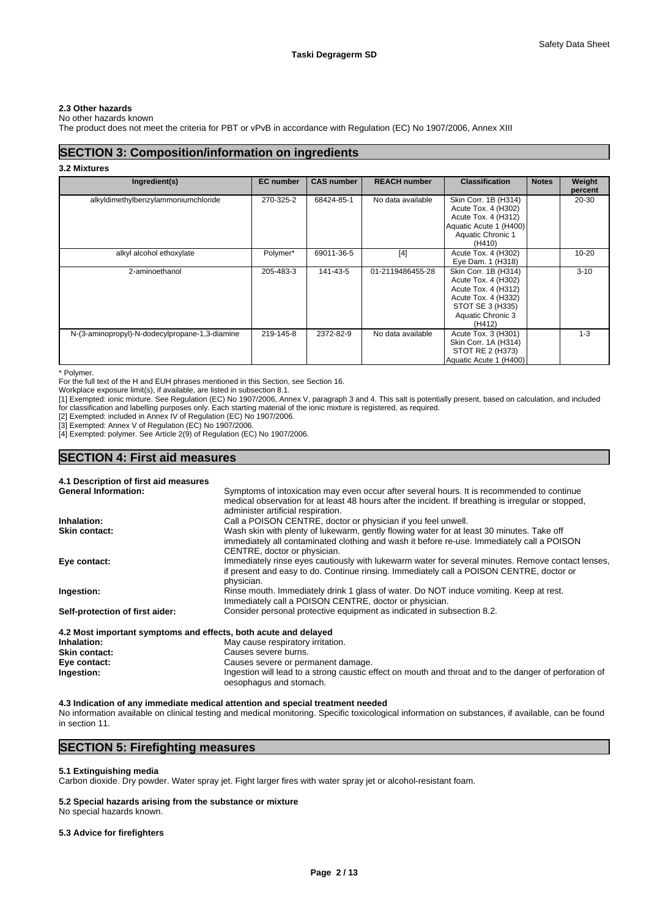### **2.3 Other hazards**

No other hazards known

The product does not meet the criteria for PBT or vPvB in accordance with Regulation (EC) No 1907/2006, Annex XIII

# **SECTION 3: Composition/information on ingredients**

#### **3.2 Mixtures**

| Ingredient(s)                                  | <b>EC</b> number | <b>CAS number</b> | <b>REACH number</b> | <b>Classification</b>                                                                                                                        | <b>Notes</b> | Weight<br>percent |
|------------------------------------------------|------------------|-------------------|---------------------|----------------------------------------------------------------------------------------------------------------------------------------------|--------------|-------------------|
| alkyldimethylbenzylammoniumchloride            | 270-325-2        | 68424-85-1        | No data available   | Skin Corr. 1B (H314)<br>Acute Tox. 4 (H302)<br>Acute Tox. 4 (H312)<br>Aquatic Acute 1 (H400)<br>Aquatic Chronic 1<br>(H410)                  |              | 20-30             |
| alkyl alcohol ethoxylate                       | Polymer*         | 69011-36-5        | $[4]$               | Acute Tox. 4 (H302)<br>Eye Dam. 1 (H318)                                                                                                     |              | $10 - 20$         |
| 2-aminoethanol                                 | 205-483-3        | 141-43-5          | 01-2119486455-28    | Skin Corr. 1B (H314)<br>Acute Tox. 4 (H302)<br>Acute Tox. 4 (H312)<br>Acute Tox. 4 (H332)<br>STOT SE 3 (H335)<br>Aquatic Chronic 3<br>(H412) |              | $3 - 10$          |
| N-(3-aminopropyl)-N-dodecylpropane-1,3-diamine | 219-145-8        | 2372-82-9         | No data available   | Acute Tox. 3 (H301)<br>Skin Corr. 1A (H314)<br>STOT RE 2 (H373)<br>Aquatic Acute 1 (H400)                                                    |              | $1 - 3$           |

\* Polymer.

For the full text of the H and EUH phrases mentioned in this Section, see Section 16.

Workplace exposure limit(s), if available, are listed in subsection 8.1.

[1] Exempted: ionic mixture. See Regulation (EC) No 1907/2006, Annex V, paragraph 3 and 4. This salt is potentially present, based on calculation, and included for classification and labelling purposes only. Each starting material of the ionic mixture is registered, as required.

[2] Exempted: included in Annex IV of Regulation (EC) No 1907/2006.

[3] Exempted: Annex V of Regulation (EC) No 1907/2006.

[4] Exempted: polymer. See Article 2(9) of Regulation (EC) No 1907/2006.

# **SECTION 4: First aid measures**

**4.1 Description of first aid measures**

| <b>General Information:</b>                                     | Symptoms of intoxication may even occur after several hours. It is recommended to continue          |
|-----------------------------------------------------------------|-----------------------------------------------------------------------------------------------------|
|                                                                 | medical observation for at least 48 hours after the incident. If breathing is irregular or stopped, |
|                                                                 | administer artificial respiration.                                                                  |
| Inhalation:                                                     | Call a POISON CENTRE, doctor or physician if you feel unwell.                                       |
| <b>Skin contact:</b>                                            | Wash skin with plenty of lukewarm, gently flowing water for at least 30 minutes. Take off           |
|                                                                 | immediately all contaminated clothing and wash it before re-use. Immediately call a POISON          |
|                                                                 | CENTRE, doctor or physician.                                                                        |
| Eye contact:                                                    | Immediately rinse eyes cautiously with lukewarm water for several minutes. Remove contact lenses,   |
|                                                                 | if present and easy to do. Continue rinsing. Immediately call a POISON CENTRE, doctor or            |
|                                                                 | physician.                                                                                          |
| Ingestion:                                                      | Rinse mouth. Immediately drink 1 glass of water. Do NOT induce vomiting. Keep at rest.              |
|                                                                 | Immediately call a POISON CENTRE, doctor or physician.                                              |
| Self-protection of first aider:                                 | Consider personal protective equipment as indicated in subsection 8.2.                              |
| 4.2 Most important symptoms and effects, both acute and delayed |                                                                                                     |
| Inhalation:                                                     | May cause respiratory irritation.                                                                   |
| Skin contact:                                                   | Causes severe burns.                                                                                |

**Skin contact:** Causes severe burns. **Eye contact:** Causes severe or permanent damage.<br> **Ingestion:** Causes severe or permanent damage.<br>
Ingestion will lead to a strong caustic e **Ingestion:** Ingestion will lead to a strong caustic effect on mouth and throat and to the danger of perforation of oesophagus and stomach.

**4.3 Indication of any immediate medical attention and special treatment needed** No information available on clinical testing and medical monitoring. Specific toxicological information on substances, if available, can be found in section 11.

# **SECTION 5: Firefighting measures**

#### **5.1 Extinguishing media**

Carbon dioxide. Dry powder. Water spray jet. Fight larger fires with water spray jet or alcohol-resistant foam.

**5.2 Special hazards arising from the substance or mixture**

No special hazards known.

#### **5.3 Advice for firefighters**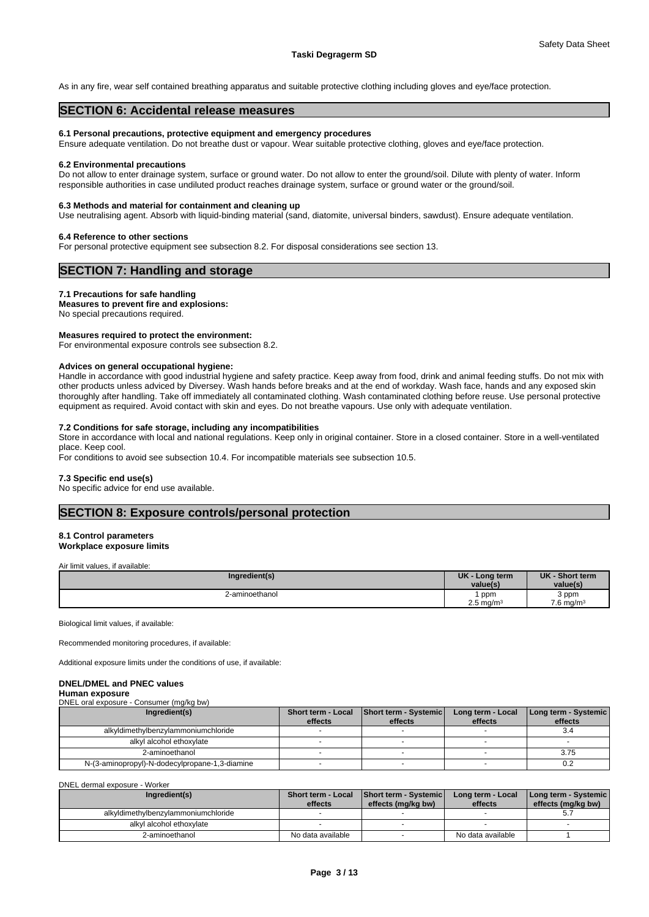As in any fire, wear self contained breathing apparatus and suitable protective clothing including gloves and eye/face protection.

### **SECTION 6: Accidental release measures**

#### **6.1 Personal precautions, protective equipment and emergency procedures**

Ensure adequate ventilation. Do not breathe dust or vapour. Wear suitable protective clothing, gloves and eye/face protection.

#### **6.2 Environmental precautions**

Do not allow to enter drainage system, surface or ground water. Do not allow to enter the ground/soil. Dilute with plenty of water. Inform responsible authorities in case undiluted product reaches drainage system, surface or ground water or the ground/soil.

#### **6.3 Methods and material for containment and cleaning up**

Use neutralising agent. Absorb with liquid-binding material (sand, diatomite, universal binders, sawdust). Ensure adequate ventilation.

#### **6.4 Reference to other sections**

For personal protective equipment see subsection 8.2. For disposal considerations see section 13.

### **SECTION 7: Handling and storage**

#### **7.1 Precautions for safe handling**

**Measures to prevent fire and explosions:**

No special precautions required.

### **Measures required to protect the environment:**

For environmental exposure controls see subsection 8.2.

#### **Advices on general occupational hygiene:**

Handle in accordance with good industrial hygiene and safety practice. Keep away from food, drink and animal feeding stuffs. Do not mix with other products unless adviced by Diversey. Wash hands before breaks and at the end of workday. Wash face, hands and any exposed skin thoroughly after handling. Take off immediately all contaminated clothing. Wash contaminated clothing before reuse. Use personal protective equipment as required. Avoid contact with skin and eyes. Do not breathe vapours. Use only with adequate ventilation.

#### **7.2 Conditions for safe storage, including any incompatibilities**

Store in accordance with local and national regulations. Keep only in original container. Store in a closed container. Store in a well-ventilated place. Keep cool.

For conditions to avoid see subsection 10.4. For incompatible materials see subsection 10.5.

#### **7.3 Specific end use(s)**

No specific advice for end use available.

# **SECTION 8: Exposure controls/personal protection**

#### **8.1 Control parameters Workplace exposure limits**

Air limit values, if available:

| Ingredient(s)  | UK - Long term<br>value(s) | <b>UK</b><br>- Short term<br>value(s) |
|----------------|----------------------------|---------------------------------------|
| 2-aminoethanol | ppm                        | 3 ppm                                 |
|                | $2.5$ ma/m <sup>3</sup>    | $7.6$ ma/m <sup>3</sup>               |

Biological limit values, if available:

Recommended monitoring procedures, if available:

Additional exposure limits under the conditions of use, if available:

#### **DNEL/DMEL and PNEC values**

#### **Human exposure**

DNEL oral exposure - Consumer (mg/kg bw)

| Ingredient(s)                                  | effects | Short term - Local Short term - Systemic<br>effects | Long term - Local<br>effects | Long term - Systemic<br>effects |
|------------------------------------------------|---------|-----------------------------------------------------|------------------------------|---------------------------------|
| alkyldimethylbenzylammoniumchloride            |         |                                                     |                              | 3.4                             |
| alkyl alcohol ethoxylate                       |         |                                                     |                              |                                 |
| 2-aminoethanol                                 |         |                                                     |                              | 3.75                            |
| N-(3-aminopropyl)-N-dodecylpropane-1,3-diamine |         |                                                     |                              | 0.2                             |

DNEL dermal exposure - Worker

| Ingredient(s)                       | <b>Short term - Local</b><br>effects | Short term - Systemic<br>effects (mg/kg bw) | Long term - Local<br>effects | [Long term - Systemic]<br>effects (mg/kg bw) |
|-------------------------------------|--------------------------------------|---------------------------------------------|------------------------------|----------------------------------------------|
| alkyldimethylbenzylammoniumchloride |                                      |                                             |                              | ບ.,                                          |
| alkyl alcohol ethoxylate            |                                      |                                             |                              |                                              |
| 2-aminoethanol                      | No data available                    |                                             | No data available            |                                              |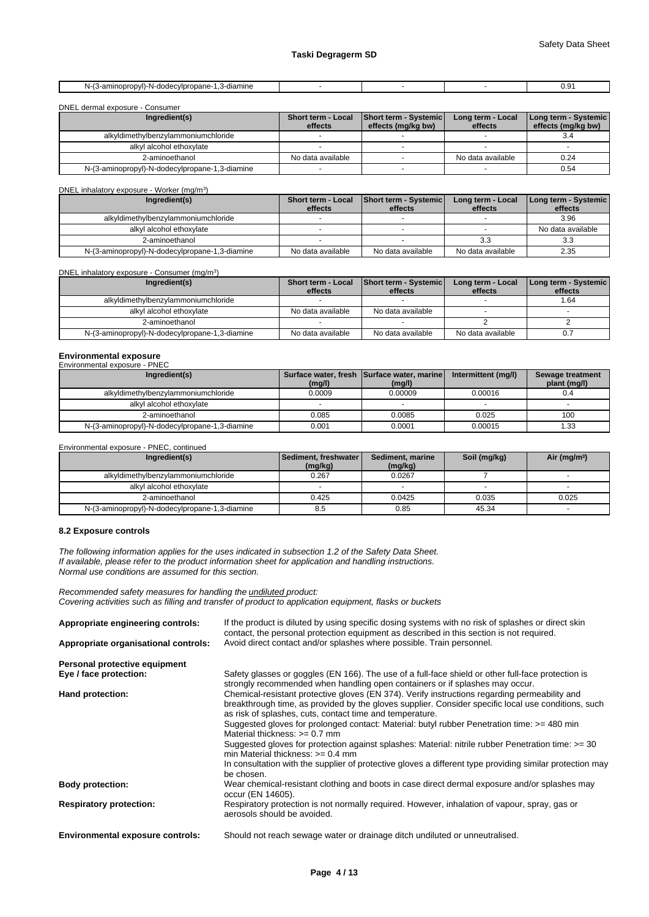| ັບ.ບ<br>$ -$ |
|--------------|
|--------------|

#### DNEL dermal exposure - Consumer

| Ingredient(s)                                  | <b>Short term - Local</b><br>effects | Short term - Systemic<br>effects (mg/kg bw) | Long term - Local<br>effects | Long term - Systemic<br>effects (mg/kg bw) |
|------------------------------------------------|--------------------------------------|---------------------------------------------|------------------------------|--------------------------------------------|
| alkyldimethylbenzylammoniumchloride            |                                      |                                             |                              | 3.4                                        |
| alkyl alcohol ethoxylate                       |                                      |                                             |                              |                                            |
| 2-aminoethanol                                 | No data available                    |                                             | No data available            | 0.24                                       |
| N-(3-aminopropyl)-N-dodecylpropane-1,3-diamine |                                      |                                             |                              | 0.54                                       |

# DNEL inhalatory exposure - Worker (mg/m<sup>3</sup>

| Ingredient(s)                                  | <b>Short term - Local</b> | Short term - Systemic | Long term - Local | Long term - Systemic |
|------------------------------------------------|---------------------------|-----------------------|-------------------|----------------------|
|                                                | effects                   | effects               | effects           | effects              |
| alkyldimethylbenzylammoniumchloride            |                           |                       |                   | 3.96                 |
| alkyl alcohol ethoxylate                       |                           |                       |                   | No data available    |
| 2-aminoethanol                                 |                           |                       | 3.3               | 3.3                  |
| N-(3-aminopropyl)-N-dodecylpropane-1,3-diamine | No data available         | No data available     | No data available | 2.35                 |

#### DNEL inhalatory exposure - Consumer (mg/m<sup>3</sup>

| DNEL inhalatory exposure - Consumer (mg/m <sup>3</sup> ) |                                      |                                         |                              |                                   |
|----------------------------------------------------------|--------------------------------------|-----------------------------------------|------------------------------|-----------------------------------|
| Ingredient(s)                                            | <b>Short term - Local</b><br>effects | <b>Short term - Systemic</b><br>effects | Long term - Local<br>effects | Long term - Systemic  <br>effects |
| alkyldimethylbenzylammoniumchloride                      |                                      |                                         |                              | 1.64                              |
| alkyl alcohol ethoxylate                                 | No data available                    | No data available                       |                              |                                   |
| 2-aminoethanol                                           |                                      |                                         |                              |                                   |
| N-(3-aminopropyl)-N-dodecylpropane-1,3-diamine           | No data available                    | No data available                       | No data available            | 0.7                               |

# **Environmental exposure** Environmental exposure - PNEC

| Ingredient(s)                                  | (mg/l) | Surface water, fresh Surface water, marine<br>(mg/l) | Intermittent (mg/l) | Sewage treatment<br>plant (mg/l) |
|------------------------------------------------|--------|------------------------------------------------------|---------------------|----------------------------------|
| alkyldimethylbenzylammoniumchloride            | 0.0009 | 0.00009                                              | 0.00016             | υ.4                              |
| alkyl alcohol ethoxylate                       |        |                                                      |                     |                                  |
| 2-aminoethanol                                 | 0.085  | 0.0085                                               | 0.025               | 100                              |
| N-(3-aminopropyl)-N-dodecylpropane-1,3-diamine | 0.001  | 0.0001                                               | 0.00015             | 1.33                             |

### Environmental exposure - PNEC, continued

| Ingredient(s)                                  | <b>Sediment, freshwater I</b><br>(mg/kg) | Sediment, marine<br>(mg/kg) | Soil (mg/kg) | Air (mg/m <sup>3</sup> ) |
|------------------------------------------------|------------------------------------------|-----------------------------|--------------|--------------------------|
| alkyldimethylbenzylammoniumchloride            | 0.267                                    | 0.0267                      |              |                          |
| alkyl alcohol ethoxylate                       |                                          |                             |              |                          |
| 2-aminoethanol                                 | 0.425                                    | 0.0425                      | 0.035        | 0.025                    |
| N-(3-aminopropyl)-N-dodecylpropane-1,3-diamine | 8.5                                      | 0.85                        | 45.34        |                          |

#### **8.2 Exposure controls**

*The following information applies for the uses indicated in subsection 1.2 of the Safety Data Sheet. If available, please refer to the product information sheet for application and handling instructions. Normal use conditions are assumed for this section.*

) and  $\overline{\phantom{a}}$ 

*Recommended safety measures for handling the undiluted product: Covering activities such as filling and transfer of product to application equipment, flasks or buckets*

| Appropriate engineering controls:       | If the product is diluted by using specific dosing systems with no risk of splashes or direct skin<br>contact, the personal protection equipment as described in this section is not required.                                                                                                                                                                  |
|-----------------------------------------|-----------------------------------------------------------------------------------------------------------------------------------------------------------------------------------------------------------------------------------------------------------------------------------------------------------------------------------------------------------------|
| Appropriate organisational controls:    | Avoid direct contact and/or splashes where possible. Train personnel.                                                                                                                                                                                                                                                                                           |
| Personal protective equipment           |                                                                                                                                                                                                                                                                                                                                                                 |
| Eye / face protection:                  | Safety glasses or goggles (EN 166). The use of a full-face shield or other full-face protection is<br>strongly recommended when handling open containers or if splashes may occur.                                                                                                                                                                              |
| Hand protection:                        | Chemical-resistant protective gloves (EN 374). Verify instructions regarding permeability and<br>breakthrough time, as provided by the gloves supplier. Consider specific local use conditions, such<br>as risk of splashes, cuts, contact time and temperature.<br>Suggested gloves for prolonged contact: Material: butyl rubber Penetration time: >= 480 min |
|                                         | Material thickness: $>= 0.7$ mm<br>Suggested gloves for protection against splashes: Material: nitrile rubber Penetration time: $>=$ 30<br>min Material thickness: $>= 0.4$ mm                                                                                                                                                                                  |
|                                         | In consultation with the supplier of protective gloves a different type providing similar protection may<br>be chosen.                                                                                                                                                                                                                                          |
| <b>Body protection:</b>                 | Wear chemical-resistant clothing and boots in case direct dermal exposure and/or splashes may<br>occur (EN 14605).                                                                                                                                                                                                                                              |
| <b>Respiratory protection:</b>          | Respiratory protection is not normally required. However, inhalation of vapour, spray, gas or<br>aerosols should be avoided.                                                                                                                                                                                                                                    |
| <b>Environmental exposure controls:</b> | Should not reach sewage water or drainage ditch undiluted or unneutralised.                                                                                                                                                                                                                                                                                     |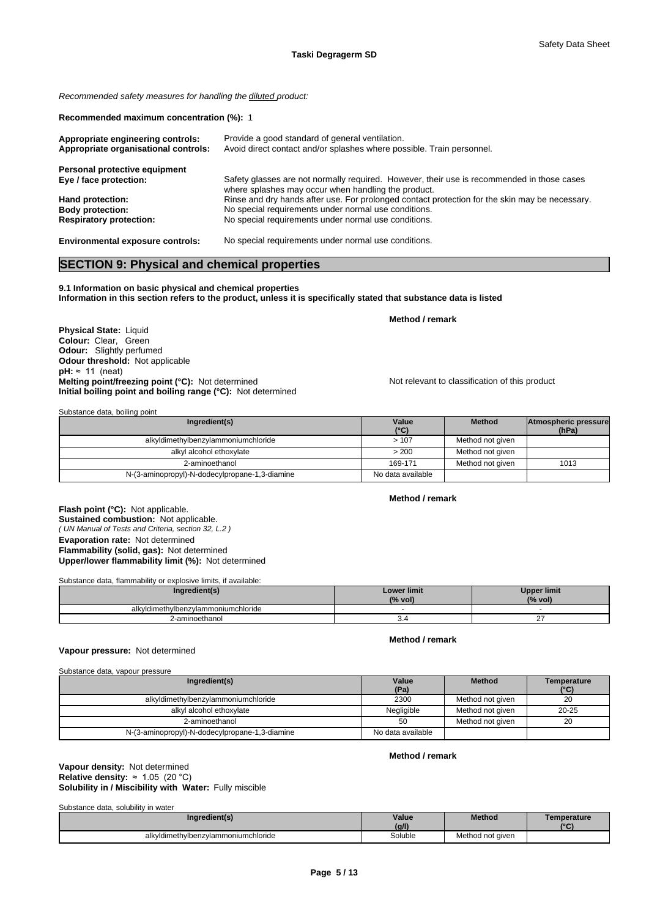*Recommended safety measures for handling the diluted product:*

**Recommended maximum concentration (%):** 1

| Appropriate engineering controls:<br>Appropriate organisational controls: | Provide a good standard of general ventilation.<br>Avoid direct contact and/or splashes where possible. Train personnel.                          |
|---------------------------------------------------------------------------|---------------------------------------------------------------------------------------------------------------------------------------------------|
| Personal protective equipment                                             |                                                                                                                                                   |
| Eye / face protection:                                                    | Safety glasses are not normally required. However, their use is recommended in those cases<br>where splashes may occur when handling the product. |
| Hand protection:                                                          | Rinse and dry hands after use. For prolonged contact protection for the skin may be necessary.                                                    |
| <b>Body protection:</b>                                                   | No special requirements under normal use conditions.                                                                                              |
| <b>Respiratory protection:</b>                                            | No special requirements under normal use conditions.                                                                                              |
| <b>Environmental exposure controls:</b>                                   | No special requirements under normal use conditions.                                                                                              |

# **SECTION 9: Physical and chemical properties**

### **9.1 Information on basic physical and chemical properties Information in this section refers to the product, unless it is specifically stated that substance data is listed**

**Physical State: Liquid Colour:** Clear, Green **Odour:** Slightly perfumed **Odour threshold:** Not applicable  $pH: \approx 11$  (neat) **Melting point/freezing point (°C):** Not determined Not relevant to classification of this product **Initial boiling point and boiling range (°C):** Not determined

Substance data, boiling point

| Ingredient(s)                                  | Value<br>$(^{\circ}C)$ | <b>Method</b>    | Atmospheric pressure<br>(hPa) |  |
|------------------------------------------------|------------------------|------------------|-------------------------------|--|
| alkyldimethylbenzylammoniumchloride            | >107                   | Method not given |                               |  |
| alkyl alcohol ethoxylate                       | > 200                  | Method not given |                               |  |
| 2-aminoethanol                                 | 169-171                | Method not given | 1013                          |  |
| N-(3-aminopropyl)-N-dodecylpropane-1,3-diamine | No data available      |                  |                               |  |

#### **Method / remark**

**Method / remark**

*( UN Manual of Tests and Criteria, section 32, L.2 )* **Flash point (°C):** Not applicable. **Sustained combustion:** Not applicable. **Evaporation rate:** Not determined **Flammability (solid, gas):** Not determined **Upper/lower flammability limit (%):** Not determined

Substance data, flammability or explosive limits, if available:

| arradiant/s                         | <b>Lower limit</b><br>(% vol) | pper limit<br>(% vol) |
|-------------------------------------|-------------------------------|-----------------------|
| alkyldimethylbenzylammoniumchloride |                               |                       |
| 2-aminoethanol                      | J.                            |                       |

## **Method / remark**

# **Vapour pressure:** Not determined

| Substance data, vapour pressure                |                   |                  |                     |
|------------------------------------------------|-------------------|------------------|---------------------|
| Ingredient(s)                                  | Value<br>(Pa)     | <b>Method</b>    | Temperature<br>(°C) |
| alkyldimethylbenzylammoniumchloride            | 2300              | Method not given | 20                  |
| alkyl alcohol ethoxylate                       | Negligible        | Method not given | $20 - 25$           |
| 2-aminoethanol                                 | 50                | Method not given | 20                  |
| N-(3-aminopropyl)-N-dodecylpropane-1,3-diamine | No data available |                  |                     |

# **Method / remark**

#### **Solubility in / Miscibility with Water:** Fully miscible **Vapour density:** Not determined **Relative density:** ≈1.05(20°C)

Substance data, solubility in water

| <u>oabolamoo aala, oorabiiliy in walor</u> |         |                  |                    |
|--------------------------------------------|---------|------------------|--------------------|
| Ingredient(s)                              | Value   | Method           | <b>Femperature</b> |
|                                            | (q/l)   |                  | $10^{\circ}$       |
| alkvldimethvlbenzvlammoniumchloride        | Soluble | Method not given |                    |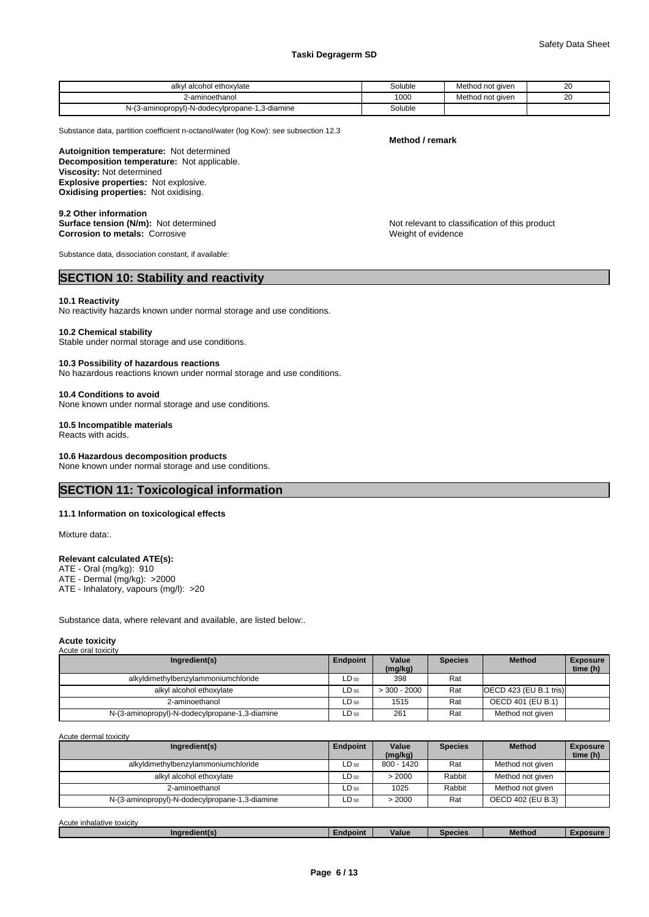#### **Taski Degragerm SD**

| l alcohol ethoxvlate<br>alkv                                  | Soluble | Method not aiven            | $\sim$<br>∠ເ |  |
|---------------------------------------------------------------|---------|-----------------------------|--------------|--|
| aminoethanol                                                  | 1000    | not given<br>.√leth.<br>iuu | 20<br>__     |  |
| $\sim$<br>minopropyl)-N-dodecylpropane-1,3-diamine<br>N-(3-am | Soluble |                             |              |  |

Substance data, partition coefficient n-octanol/water (log Kow): see subsection 12.3

**Decomposition temperature:** Not applicable. **Autoignition temperature:** Not determined **Viscosity:** Not determined **Explosive properties:** Not explosive. **Oxidising properties:** Not oxidising.

**9.2 Other information Corrosion to metals:** Corrosive **Weight of evidence** Weight of evidence

Substance data, dissociation constant, if available:

# **SECTION 10: Stability and reactivity**

#### **10.1 Reactivity**

No reactivity hazards known under normal storage and use conditions.

#### **10.2 Chemical stability**

Stable under normal storage and use conditions.

#### **10.3 Possibility of hazardous reactions**

No hazardous reactions known under normal storage and use conditions.

#### **10.4 Conditions to avoid**

None known under normal storage and use conditions.

#### **10.5 Incompatible materials**

Reacts with acids.

#### **10.6 Hazardous decomposition products**

None known under normal storage and use conditions.

# **SECTION 11: Toxicological information**

#### **11.1 Information on toxicological effects**

Mixture data:.

#### **Relevant calculated ATE(s):**

- ATE Oral (mg/kg): 910
- ATE Dermal (mg/kg): >2000 ATE - Inhalatory, vapours (mg/l): >20

Substance data, where relevant and available, are listed below:.

#### **Acute toxicity**

| Acute oral toxicity                            |           |                  |                |                          |                             |
|------------------------------------------------|-----------|------------------|----------------|--------------------------|-----------------------------|
| Ingredient(s)                                  | Endpoint  | Value<br>(mg/kg) | <b>Species</b> | <b>Method</b>            | <b>Exposure</b><br>time (h) |
| alkyldimethylbenzylammoniumchloride            | LD 50     | 398              | Rat            |                          |                             |
| alkyl alcohol ethoxylate                       | LD 50     | $>$ 300 - 2000   | Rat            | [OECD 423 (EU B.1 tris)] |                             |
| 2-aminoethanol                                 | LD 50     | 1515             | Rat            | OECD 401 (EU B.1)        |                             |
| N-(3-aminopropyl)-N-dodecylpropane-1,3-diamine | $LD_{50}$ | 261              | Rat            | Method not given         |                             |

Acute dermal toxicity

| Ingredient(s)                                  | Endpoint  | Value<br>(mg/kg) | <b>Species</b> | <b>Method</b>     | <b>Exposure</b><br>time (h) |
|------------------------------------------------|-----------|------------------|----------------|-------------------|-----------------------------|
| alkyldimethylbenzylammoniumchloride            | $LD_{50}$ | 800 - 1420       | Rat            | Method not given  |                             |
| alkyl alcohol ethoxylate                       | LD 50     | > 2000           | Rabbit         | Method not given  |                             |
| 2-aminoethanol                                 | LD 50     | 1025             | Rabbit         | Method not given  |                             |
| N-(3-aminopropyl)-N-dodecylpropane-1,3-diamine | $LD_{50}$ | > 2000           | Rat            | OECD 402 (EU B.3) |                             |

Acute inhalative toxicity

| Method<br><b>YDOSUre</b><br><b>Value</b><br>Species<br>Ingredient(s)<br>:ndpoint |
|----------------------------------------------------------------------------------|
|----------------------------------------------------------------------------------|

**Surface tension (N/m):** Not determined  $\blacksquare$  Not relevant to classification of this product

**Method / remark**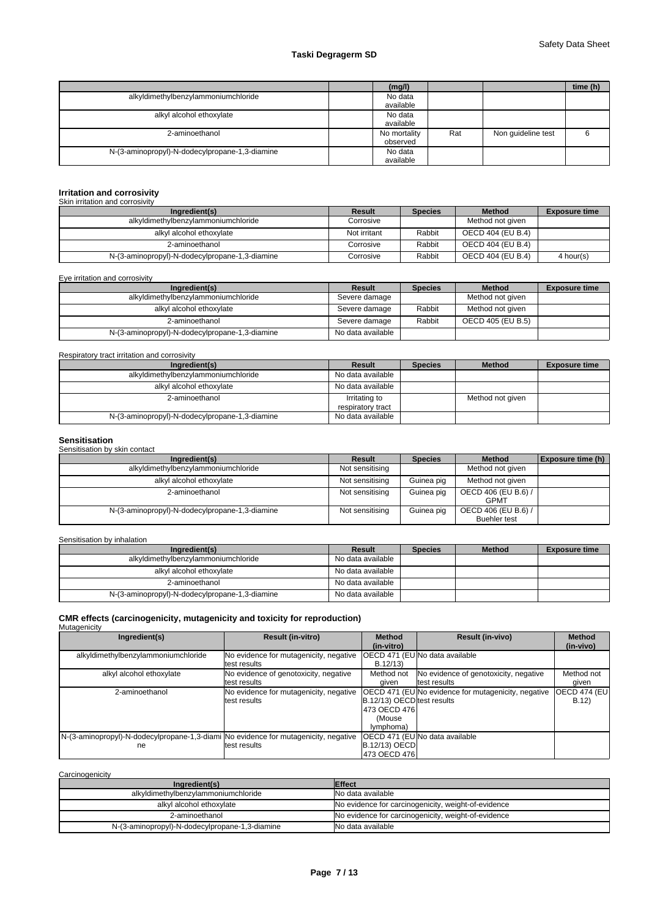# **Taski Degragerm SD**

|                                                | (mg/l)       |     |                    | time (h) |
|------------------------------------------------|--------------|-----|--------------------|----------|
| alkyldimethylbenzylammoniumchloride            | No data      |     |                    |          |
|                                                | available    |     |                    |          |
| alkyl alcohol ethoxylate                       | No data      |     |                    |          |
|                                                | available    |     |                    |          |
| 2-aminoethanol                                 | No mortality | Rat | Non guideline test | 6        |
|                                                | observed     |     |                    |          |
| N-(3-aminopropyl)-N-dodecylpropane-1,3-diamine | No data      |     |                    |          |
|                                                | available    |     |                    |          |

# **Irritation and corrosivity** Skin irritation and corrosivity

| <b>ONIT ILLIGHOLL GEIG COLLUSIVILY</b>         |              |                |                   |                      |
|------------------------------------------------|--------------|----------------|-------------------|----------------------|
| Ingredient(s)                                  | Result       | <b>Species</b> | <b>Method</b>     | <b>Exposure time</b> |
| alkyldimethylbenzylammoniumchloride            | Corrosive    |                | Method not given  |                      |
| alkyl alcohol ethoxylate                       | Not irritant | Rabbit         | OECD 404 (EU B.4) |                      |
| 2-aminoethanol                                 | Corrosive    | Rabbit         | OECD 404 (EU B.4) |                      |
| N-(3-aminopropyl)-N-dodecylpropane-1,3-diamine | Corrosive    | Rabbit         | OECD 404 (EU B.4) | 4 hour(s)            |

Eye irritation and corrosivity

| Ingredient(s)                                  | Result            | <b>Species</b> | <b>Method</b>     | <b>Exposure time</b> |
|------------------------------------------------|-------------------|----------------|-------------------|----------------------|
| alkyldimethylbenzylammoniumchloride            | Severe damage     |                | Method not given  |                      |
| alkyl alcohol ethoxylate                       | Severe damage     | Rabbit         | Method not given  |                      |
| 2-aminoethanol                                 | Severe damage     | Rabbit         | OECD 405 (EU B.5) |                      |
| N-(3-aminopropyl)-N-dodecylpropane-1,3-diamine | No data available |                |                   |                      |

#### Respiratory tract irritation and corrosivity

| Ingredient(s)                                  | Result                             | <b>Species</b> | <b>Method</b>    | <b>Exposure time</b> |
|------------------------------------------------|------------------------------------|----------------|------------------|----------------------|
| alkyldimethylbenzylammoniumchloride            | No data available                  |                |                  |                      |
| alkyl alcohol ethoxylate                       | No data available                  |                |                  |                      |
| 2-aminoethanol                                 | Irritating to<br>respiratory tract |                | Method not given |                      |
| N-(3-aminopropyl)-N-dodecylpropane-1,3-diamine | No data available                  |                |                  |                      |

**Sensitisation** Sensitisation by skin contact

| Ingredient(s)                                  | Result          | <b>Species</b> | <b>Method</b>       | Exposure time (h) |
|------------------------------------------------|-----------------|----------------|---------------------|-------------------|
| alkyldimethylbenzylammoniumchloride            | Not sensitising |                | Method not given    |                   |
| alkyl alcohol ethoxylate                       | Not sensitising | Guinea pig     | Method not given    |                   |
| 2-aminoethanol                                 | Not sensitising | Guinea pig     | OECD 406 (EU B.6) / |                   |
|                                                |                 |                | <b>GPMT</b>         |                   |
| N-(3-aminopropyl)-N-dodecylpropane-1,3-diamine | Not sensitising | Guinea pig     | OECD 406 (EU B.6) / |                   |
|                                                |                 |                | <b>Buehler test</b> |                   |

Sensitisation by inhalation

| Ingredient(s)                                  | Result            | <b>Species</b> | <b>Method</b> | <b>Exposure time</b> |
|------------------------------------------------|-------------------|----------------|---------------|----------------------|
| alkyldimethylbenzylammoniumchloride            | No data available |                |               |                      |
| alkyl alcohol ethoxylate                       | No data available |                |               |                      |
| 2-aminoethanol                                 | No data available |                |               |                      |
| N-(3-aminopropyl)-N-dodecylpropane-1,3-diamine | No data available |                |               |                      |

# **CMR effects (carcinogenicity, mutagenicity and toxicity for reproduction)** Mutagenicity

| Ingredient(s)                                                                       | <b>Result (in-vitro)</b>               | <b>Method</b>              | <b>Result (in-vivo)</b>                                    | <b>Method</b>        |
|-------------------------------------------------------------------------------------|----------------------------------------|----------------------------|------------------------------------------------------------|----------------------|
|                                                                                     |                                        | (in-vitro)                 |                                                            | (in-vivo)            |
| alkyldimethylbenzylammoniumchloride                                                 | No evidence for mutagenicity, negative |                            | <b>IOECD 471 (EU No data available</b>                     |                      |
|                                                                                     | test results                           | B.12/13)                   |                                                            |                      |
| alkyl alcohol ethoxylate                                                            | No evidence of genotoxicity, negative  | Method not                 | No evidence of genotoxicity, negative                      | Method not           |
|                                                                                     | test results                           | aiven                      | test results                                               | qiven                |
| 2-aminoethanol                                                                      | No evidence for mutagenicity, negative |                            | <b>OECD 471 (EU No evidence for mutagenicity, negative</b> | <b>OECD 474 (EUI</b> |
|                                                                                     | test results                           | B.12/13) OECD test results |                                                            | B.12                 |
|                                                                                     |                                        | 1473 OECD 4761             |                                                            |                      |
|                                                                                     |                                        | (Mouse                     |                                                            |                      |
|                                                                                     |                                        | ( <i>lymphoma</i>          |                                                            |                      |
| N-(3-aminopropyl)-N-dodecylpropane-1,3-diami No evidence for mutagenicity, negative |                                        |                            | <b>IOECD 471 (EUINo data available</b>                     |                      |
| ne                                                                                  | test results                           | <b>B.12/13) OECD</b>       |                                                            |                      |
|                                                                                     |                                        | 1473 OECD 4761             |                                                            |                      |

### **Carcinogenicity**

| Ingredient(s)                                  | <b>Effect</b>                                       |
|------------------------------------------------|-----------------------------------------------------|
| alkyldimethylbenzylammoniumchloride            | No data available                                   |
| alkyl alcohol ethoxylate                       | No evidence for carcinogenicity, weight-of-evidence |
| 2-aminoethanol                                 | No evidence for carcinogenicity, weight-of-evidence |
| N-(3-aminopropyl)-N-dodecylpropane-1,3-diamine | No data available                                   |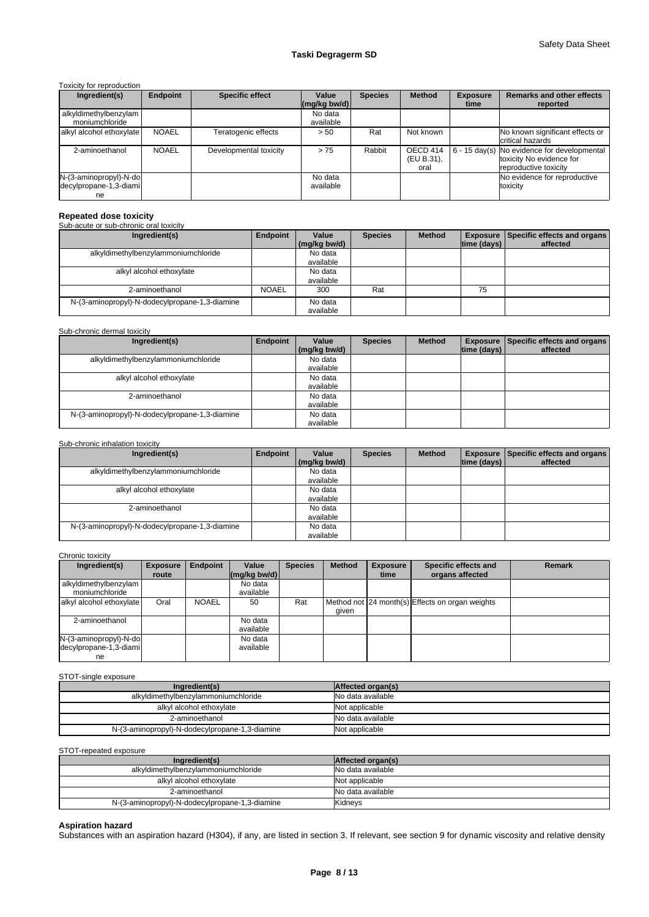#### Toxicity for reproduction

| Ingredient(s)                                          | Endpoint     | <b>Specific effect</b> | Value<br>$(mg/kg$ bw/d) | <b>Species</b> | <b>Method</b>                  | <b>Exposure</b><br>time | <b>Remarks and other effects</b><br>reported                                                             |
|--------------------------------------------------------|--------------|------------------------|-------------------------|----------------|--------------------------------|-------------------------|----------------------------------------------------------------------------------------------------------|
| alkyldimethylbenzylam<br>moniumchloride                |              |                        | No data<br>available    |                |                                |                         |                                                                                                          |
| alkyl alcohol ethoxylate                               | <b>NOAEL</b> | Teratogenic effects    | > 50                    | Rat            | Not known                      |                         | No known significant effects or<br>critical hazards                                                      |
| 2-aminoethanol                                         | <b>NOAEL</b> | Developmental toxicity | > 75                    | Rabbit         | OECD 414<br>(EU B.31),<br>oral |                         | $\vert$ 6 - 15 day(s) No evidence for developmental<br>toxicity No evidence for<br>reproductive toxicity |
| N-(3-aminopropyl)-N-do<br>decylpropane-1,3-diami<br>ne |              |                        | No data<br>available    |                |                                |                         | No evidence for reproductive<br>toxicity                                                                 |

# **Repeated dose toxicity** Sub-acute or sub-chronic oral toxicity

#### **Ingredient(s) Endpoint Value** Species **(mg/kg bw/d) Species | Method | Exposure | Specific effects and organs | time (days) affected**  alkyldimethylbenzylammoniumchloride No data available<br>No data alkyl alcohol ethoxylate available 2-aminoethanol NOAEL 300 Rat 75 N-(3-aminopropyl)-N-dodecylpropane-1,3-diamine No data available

#### Sub-chronic dermal toxicity

| Ingredient(s)                                  | Endpoint | Value<br>(mg/kg bw/d) | <b>Species</b> | <b>Method</b> | time (days) l | Exposure Specific effects and organs<br>affected |
|------------------------------------------------|----------|-----------------------|----------------|---------------|---------------|--------------------------------------------------|
| alkyldimethylbenzylammoniumchloride            |          | No data               |                |               |               |                                                  |
|                                                |          | available             |                |               |               |                                                  |
| alkyl alcohol ethoxylate                       |          | No data               |                |               |               |                                                  |
|                                                |          | available             |                |               |               |                                                  |
| 2-aminoethanol                                 |          | No data               |                |               |               |                                                  |
|                                                |          | available             |                |               |               |                                                  |
| N-(3-aminopropyl)-N-dodecylpropane-1,3-diamine |          | No data               |                |               |               |                                                  |
|                                                |          | available             |                |               |               |                                                  |

#### Sub-chronic inhalation toxicity

| Ingredient(s)                                  | Endpoint | Value<br>(mg/kg bw/d) | <b>Species</b> | <b>Method</b> | time (days) | <b>Exposure   Specific effects and organs  </b><br>affected |
|------------------------------------------------|----------|-----------------------|----------------|---------------|-------------|-------------------------------------------------------------|
| alkyldimethylbenzylammoniumchloride            |          | No data<br>available  |                |               |             |                                                             |
| alkyl alcohol ethoxylate                       |          | No data<br>available  |                |               |             |                                                             |
| 2-aminoethanol                                 |          | No data<br>available  |                |               |             |                                                             |
| N-(3-aminopropyl)-N-dodecylpropane-1,3-diamine |          | No data<br>available  |                |               |             |                                                             |

#### Chronic toxicity

| Ingredient(s)                                          | <b>Exposure</b> | <b>Endpoint</b> | Value                                      | <b>Species</b> | <b>Method</b> | <b>Exposure</b> | Specific effects and                            | Remark |
|--------------------------------------------------------|-----------------|-----------------|--------------------------------------------|----------------|---------------|-----------------|-------------------------------------------------|--------|
|                                                        | route           |                 | $\left \frac{\text{mg}}{\text{kg}}\right $ |                |               | time            | organs affected                                 |        |
| alkyldimethylbenzylam<br>moniumchloride                |                 |                 | No data<br>available                       |                |               |                 |                                                 |        |
| alkyl alcohol ethoxylate                               | Oral            | <b>NOAEL</b>    | 50                                         | Rat            | aiven         |                 | Method not 24 month(s) Effects on organ weights |        |
| 2-aminoethanol                                         |                 |                 | No data<br>available                       |                |               |                 |                                                 |        |
| N-(3-aminopropyl)-N-do<br>decylpropane-1,3-diami<br>ne |                 |                 | No data<br>available                       |                |               |                 |                                                 |        |

# STOT-single exposure

| Ingredient(s)                                  | Affected organ(s) |
|------------------------------------------------|-------------------|
| alkyldimethylbenzylammoniumchloride            | No data available |
| alkyl alcohol ethoxylate                       | Not applicable    |
| 2-aminoethanol                                 | No data available |
| N-(3-aminopropyl)-N-dodecylpropane-1,3-diamine | Not applicable    |

STOT-repeated exposure

| Ingredient(s)                                  | Affected organ(s) |
|------------------------------------------------|-------------------|
| alkyldimethylbenzylammoniumchloride            | No data available |
| alkyl alcohol ethoxylate                       | Not applicable    |
| 2-aminoethanol                                 | No data available |
| N-(3-aminopropyl)-N-dodecylpropane-1,3-diamine | Kidneys           |

#### **Aspiration hazard**

Substances with an aspiration hazard (H304), if any, are listed in section 3. If relevant, see section 9 for dynamic viscosity and relative density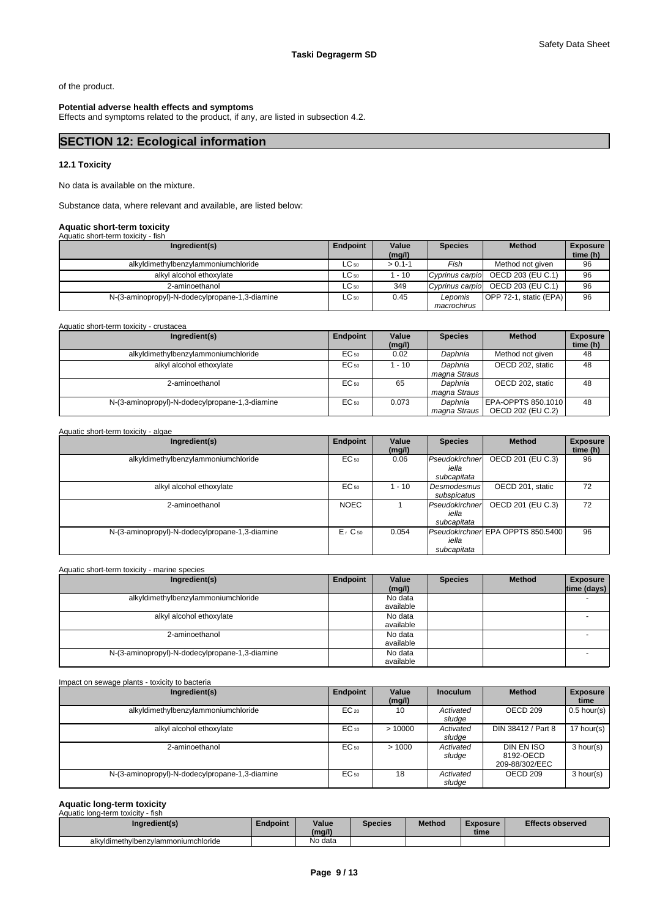of the product.

#### **Potential adverse health effects and symptoms**

Effects and symptoms related to the product, if any, are listed in subsection 4.2.

# **SECTION 12: Ecological information**

#### **12.1 Toxicity**

No data is available on the mixture.

Substance data, where relevant and available, are listed below:

# **Aquatic short-term toxicity** Aquatic short-term toxicity - fish

| Ingredient(s)                                  | Endpoint  | Value<br>(mg/l) | <b>Species</b> | <b>Method</b>                     | <b>Exposure</b><br>time (h) |
|------------------------------------------------|-----------|-----------------|----------------|-----------------------------------|-----------------------------|
| alkyldimethylbenzylammoniumchloride            | $LC_{50}$ | $> 0.1 - 1$     | Fish           | Method not given                  | 96                          |
| alkyl alcohol ethoxylate                       | $LC_{50}$ | 1 - 10          |                | Cyprinus carpio OECD 203 (EU C.1) | 96                          |
| 2-aminoethanol                                 | $LC_{50}$ | 349             |                | Cyprinus carpio OECD 203 (EU C.1) | 96                          |
| N-(3-aminopropyl)-N-dodecylpropane-1,3-diamine | $LC_{50}$ | 0.45            | Lepomis        | OPP 72-1, static (EPA)            | 96                          |
|                                                |           |                 | macrochirus    |                                   |                             |

| Aquatic short-term toxicity - crustacea        |           |                 |                         |                                         |                             |
|------------------------------------------------|-----------|-----------------|-------------------------|-----------------------------------------|-----------------------------|
| Ingredient(s)                                  | Endpoint  | Value<br>(mg/l) | <b>Species</b>          | <b>Method</b>                           | <b>Exposure</b><br>time (h) |
| alkyldimethylbenzylammoniumchloride            | $EC_{50}$ | 0.02            | Daphnia                 | Method not given                        | 48                          |
| alkyl alcohol ethoxylate                       | $EC_{50}$ | 1 - 10          | Daphnia<br>magna Straus | OECD 202, static                        | 48                          |
| 2-aminoethanol                                 | $EC_{50}$ | 65              | Daphnia<br>magna Straus | OECD 202. static                        | 48                          |
| N-(3-aminopropyl)-N-dodecylpropane-1,3-diamine | $EC_{50}$ | 0.073           | Daphnia<br>magna Straus | EPA-OPPTS 850.1010<br>OECD 202 (EU C.2) | 48                          |

#### Aquatic short-term toxicity - algae

| Ingredient(s)                                  | Endpoint    | Value<br>(mg/l) | <b>Species</b>                         | <b>Method</b>                     | <b>Exposure</b><br>time (h) |
|------------------------------------------------|-------------|-----------------|----------------------------------------|-----------------------------------|-----------------------------|
| alkyldimethylbenzylammoniumchloride            | EC 50       | 0.06            | Pseudokirchner<br>iella<br>subcapitata | OECD 201 (EU C.3)                 | 96                          |
| alkyl alcohol ethoxylate                       | EC 50       | 1 - 10          | Desmodesmus<br>subspicatus             | OECD 201. static                  | 72                          |
| 2-aminoethanol                                 | <b>NOEC</b> |                 | Pseudokirchner<br>iella<br>subcapitata | OECD 201 (EU C.3)                 | 72                          |
| N-(3-aminopropyl)-N-dodecylpropane-1,3-diamine | $E1$ C 50   | 0.054           | iella<br>subcapitata                   | Pseudokirchnen EPA OPPTS 850.5400 | 96                          |

#### Aquatic short-term toxicity - marine species

| Ingredient(s)                                  | Endpoint | Value<br>(mg/l)      | <b>Species</b> | <b>Method</b> | <b>Exposure</b><br>time (days) |
|------------------------------------------------|----------|----------------------|----------------|---------------|--------------------------------|
| alkyldimethylbenzylammoniumchloride            |          | No data<br>available |                |               |                                |
| alkyl alcohol ethoxylate                       |          | No data<br>available |                |               | -                              |
| 2-aminoethanol                                 |          | No data<br>available |                |               |                                |
| N-(3-aminopropyl)-N-dodecylpropane-1,3-diamine |          | No data<br>available |                |               |                                |

| Impact on sewage plants - toxicity to bacteria |                 |                 |                     |                                           |                         |
|------------------------------------------------|-----------------|-----------------|---------------------|-------------------------------------------|-------------------------|
| Ingredient(s)                                  | <b>Endpoint</b> | Value<br>(mg/l) | <b>Inoculum</b>     | <b>Method</b>                             | <b>Exposure</b><br>time |
| alkyldimethylbenzylammoniumchloride            | $EC_{20}$       | 10              | Activated<br>sludge | OECD 209                                  | $0.5$ hour(s)           |
| alkyl alcohol ethoxylate                       | $EC_{10}$       | >10000          | Activated<br>sludge | DIN 38412 / Part 8                        | 17 hour(s)              |
| 2-aminoethanol                                 | $EC_{50}$       | >1000           | Activated<br>sludge | DIN EN ISO<br>8192-OECD<br>209-88/302/EEC | 3 hour(s)               |
| N-(3-aminopropyl)-N-dodecylpropane-1,3-diamine | $EC_{50}$       | 18              | Activated<br>sludge | OECD 209                                  | 3 hour(s)               |

# **Aquatic long-term toxicity** Aquatic long-term toxicity - fish

| Aguatic Ibrig-term toxicity - iisii |          |                 |                |               |                  |                         |  |  |  |
|-------------------------------------|----------|-----------------|----------------|---------------|------------------|-------------------------|--|--|--|
| Ingredient(s)                       | Endpoint | Value<br>(mg/l) | <b>Species</b> | <b>Method</b> | Exposure<br>time | <b>Effects observed</b> |  |  |  |
| alkvidimethvibenzvlammoniumchloride |          | No data         |                |               |                  |                         |  |  |  |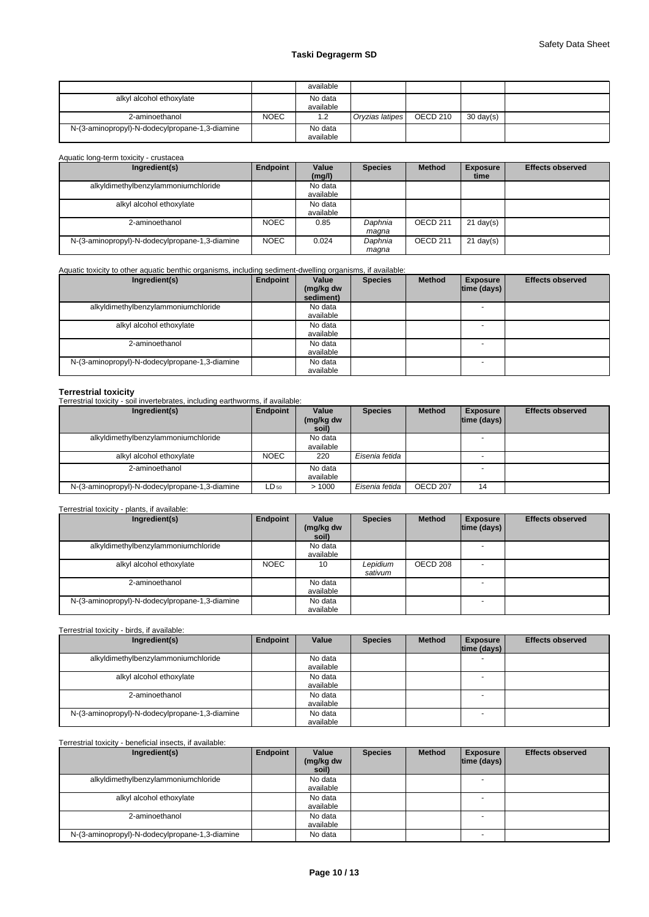# **Taski Degragerm SD**

|                                                |             | available |                 |                 |                     |  |
|------------------------------------------------|-------------|-----------|-----------------|-----------------|---------------------|--|
| alkyl alcohol ethoxylate                       |             | No data   |                 |                 |                     |  |
|                                                |             | available |                 |                 |                     |  |
| 2-aminoethanol                                 | <b>NOEC</b> | 1.2       | Oryzias latipes | <b>OECD 210</b> | $30 \text{ day(s)}$ |  |
| N-(3-aminopropyl)-N-dodecylpropane-1,3-diamine |             | No data   |                 |                 |                     |  |
|                                                |             | available |                 |                 |                     |  |

### Aquatic long-term toxicity - crustacea

| Ingredient(s)                                  | Endpoint    | Value     | <b>Species</b> | <b>Method</b> | <b>Exposure</b> | <b>Effects observed</b> |
|------------------------------------------------|-------------|-----------|----------------|---------------|-----------------|-------------------------|
|                                                |             | (mg/l)    |                |               | time            |                         |
| alkyldimethylbenzylammoniumchloride            |             | No data   |                |               |                 |                         |
|                                                |             | available |                |               |                 |                         |
| alkyl alcohol ethoxylate                       |             | No data   |                |               |                 |                         |
|                                                |             | available |                |               |                 |                         |
| 2-aminoethanol                                 | <b>NOEC</b> | 0.85      | Daphnia        | OECD 211      | $21$ day(s)     |                         |
|                                                |             |           | maqna          |               |                 |                         |
| N-(3-aminopropyl)-N-dodecylpropane-1,3-diamine | <b>NOEC</b> | 0.024     | Daphnia        | OECD 211      | $21$ day(s)     |                         |
|                                                |             |           | magna          |               |                 |                         |

# Aquatic toxicity to other aquatic benthic organisms, including sediment-dwelling organisms, if available:

| Ingredient(s)                                  | Endpoint | Value<br>(mg/kg dw<br>sediment) | <b>Species</b> | <b>Method</b> | <b>Exposure</b><br> time (days) | <b>Effects observed</b> |
|------------------------------------------------|----------|---------------------------------|----------------|---------------|---------------------------------|-------------------------|
| alkyldimethylbenzylammoniumchloride            |          | No data<br>available            |                |               | <b>.</b>                        |                         |
| alkyl alcohol ethoxylate                       |          | No data<br>available            |                |               | - -                             |                         |
| 2-aminoethanol                                 |          | No data<br>available            |                |               |                                 |                         |
| N-(3-aminopropyl)-N-dodecylpropane-1,3-diamine |          | No data<br>available            |                |               | <b>.</b>                        |                         |

**Terrestrial toxicity** Terrestrial toxicity - soil invertebrates, including earthworms, if available:

| Ingredient(s)                                  | Endpoint    | Value              | <b>Species</b> | <b>Method</b> | <b>Exposure</b>    | <b>Effects observed</b> |
|------------------------------------------------|-------------|--------------------|----------------|---------------|--------------------|-------------------------|
|                                                |             | (mg/kg dw<br>soil) |                |               | $ time$ (days) $ $ |                         |
| alkyldimethylbenzylammoniumchloride            |             | No data            |                |               |                    |                         |
|                                                |             | available          |                |               |                    |                         |
| alkyl alcohol ethoxylate                       | <b>NOEC</b> | 220                | Eisenia fetida |               |                    |                         |
| 2-aminoethanol                                 |             | No data            |                |               |                    |                         |
|                                                |             | available          |                |               |                    |                         |
| N-(3-aminopropyl)-N-dodecylpropane-1,3-diamine | $LD_{50}$   | >1000              | Eisenia fetida | OECD 207      | 14                 |                         |

### Terrestrial toxicity - plants, if available:

| Ingredient(s)                                  | Endpoint    | Value<br>(mg/kg dw<br>soil) | <b>Species</b>      | <b>Method</b> | <b>Exposure</b><br>$ time$ (days) $ $ | <b>Effects observed</b> |
|------------------------------------------------|-------------|-----------------------------|---------------------|---------------|---------------------------------------|-------------------------|
| alkyldimethylbenzylammoniumchloride            |             | No data<br>available        |                     |               |                                       |                         |
| alkyl alcohol ethoxylate                       | <b>NOEC</b> | 10                          | Lepidium<br>sativum | OECD 208      | - 1                                   |                         |
| 2-aminoethanol                                 |             | No data<br>available        |                     |               |                                       |                         |
| N-(3-aminopropyl)-N-dodecylpropane-1,3-diamine |             | No data<br>available        |                     |               | <b>.</b>                              |                         |

# Terrestrial toxicity - birds, if available:

| Ingredient(s)                                  | Endpoint | Value     | <b>Species</b> | <b>Method</b> | <b>Exposure</b> | <b>Effects observed</b> |
|------------------------------------------------|----------|-----------|----------------|---------------|-----------------|-------------------------|
|                                                |          |           |                |               | time (days)     |                         |
| alkyldimethylbenzylammoniumchloride            |          | No data   |                |               |                 |                         |
|                                                |          | available |                |               |                 |                         |
| alkyl alcohol ethoxylate                       |          | No data   |                |               |                 |                         |
|                                                |          | available |                |               |                 |                         |
| 2-aminoethanol                                 |          | No data   |                |               |                 |                         |
|                                                |          | available |                |               |                 |                         |
| N-(3-aminopropyl)-N-dodecylpropane-1,3-diamine |          | No data   |                |               |                 |                         |
|                                                |          | available |                |               |                 |                         |

#### Terrestrial toxicity - beneficial insects, if available:

| Ingredient(s)                                  | Endpoint | Value              | <b>Species</b> | <b>Method</b> | <b>Exposure</b> | <b>Effects observed</b> |
|------------------------------------------------|----------|--------------------|----------------|---------------|-----------------|-------------------------|
|                                                |          | (mg/kg dw<br>soil) |                |               | time (days)     |                         |
| alkyldimethylbenzylammoniumchloride            |          | No data            |                |               |                 |                         |
|                                                |          | available          |                |               |                 |                         |
| alkyl alcohol ethoxylate                       |          | No data            |                |               |                 |                         |
|                                                |          | available          |                |               |                 |                         |
| 2-aminoethanol                                 |          | No data            |                |               | <b>.</b>        |                         |
|                                                |          | available          |                |               |                 |                         |
| N-(3-aminopropyl)-N-dodecylpropane-1,3-diamine |          | No data            |                |               |                 |                         |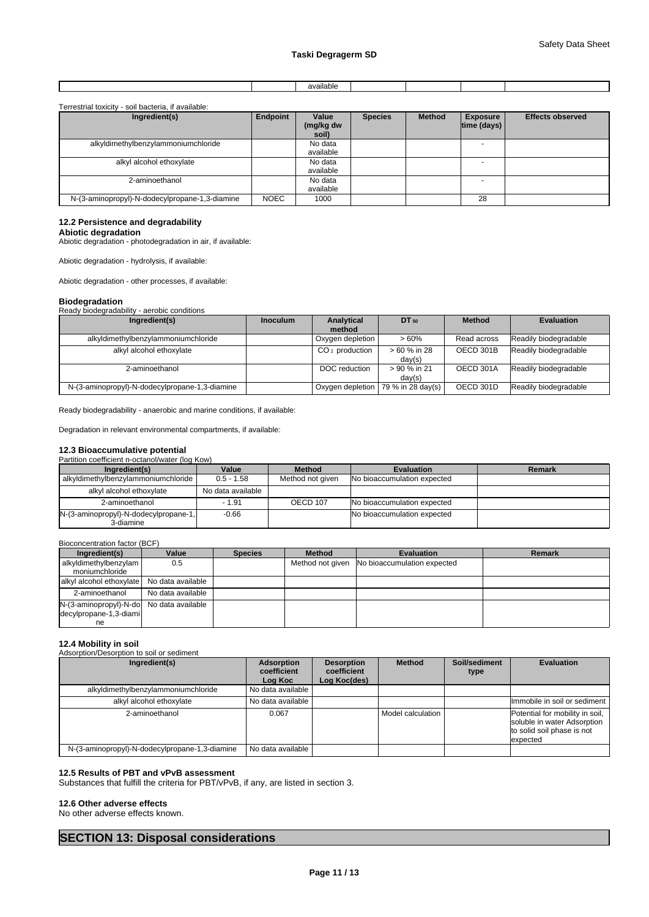|  | . |  |  |
|--|---|--|--|
|  |   |  |  |

#### Terrestrial toxicity - soil bacteria, if available:

| Ingredient(s)                                  | Endpoint    | Value<br>(mg/kg dw<br>soil) | <b>Species</b> | <b>Method</b> | <b>Exposure</b><br>$ time$ (days) $ $ | <b>Effects observed</b> |
|------------------------------------------------|-------------|-----------------------------|----------------|---------------|---------------------------------------|-------------------------|
| alkyldimethylbenzylammoniumchloride            |             | No data<br>available        |                |               |                                       |                         |
| alkyl alcohol ethoxylate                       |             | No data<br>available        |                |               |                                       |                         |
| 2-aminoethanol                                 |             | No data<br>available        |                |               |                                       |                         |
| N-(3-aminopropyl)-N-dodecylpropane-1,3-diamine | <b>NOEC</b> | 1000                        |                |               | 28                                    |                         |

### **12.2 Persistence and degradability**

**Abiotic degradation**

Abiotic degradation - photodegradation in air, if available:

Abiotic degradation - hydrolysis, if available:

Abiotic degradation - other processes, if available:

#### **Biodegradation**

Ready biodegradability - aerobic conditions

| Ingredient(s)                                  | <b>Inoculum</b> | Analytical                 | DT 50                                | <b>Method</b> | <b>Evaluation</b>     |
|------------------------------------------------|-----------------|----------------------------|--------------------------------------|---------------|-----------------------|
| alkyldimethylbenzylammoniumchloride            |                 | method<br>Oxygen depletion | >60%                                 | Read across   | Readily biodegradable |
| alkyl alcohol ethoxylate                       |                 | $CO2$ production           | > 60 % in 28                         | OECD 301B     | Readily biodegradable |
|                                                |                 |                            | day(s)                               |               |                       |
| 2-aminoethanol                                 |                 | DOC reduction              | > 90 % in 21<br>day(s)               | OECD 301A     | Readily biodegradable |
| N-(3-aminopropyl)-N-dodecylpropane-1,3-diamine |                 |                            | Oxygen depletion   79 % in 28 day(s) | OECD 301D     | Readily biodegradable |

Ready biodegradability - anaerobic and marine conditions, if available:

Degradation in relevant environmental compartments, if available:

# **12.3 Bioaccumulative potential**<br>Partition coefficient n-octanol/water (log Kow)

| annon coemcient rectangly water nod row r |                   |                  |                             |        |  |  |  |  |
|-------------------------------------------|-------------------|------------------|-----------------------------|--------|--|--|--|--|
| Ingredient(s)                             | Value             | <b>Method</b>    | <b>Evaluation</b>           | Remark |  |  |  |  |
| alkyldimethylbenzylammoniumchloride       | $0.5 - 1.58$      | Method not given | No bioaccumulation expected |        |  |  |  |  |
| alkyl alcohol ethoxylate                  | No data available |                  |                             |        |  |  |  |  |
| 2-aminoethanol                            | $-1.91$           | OECD 107         | No bioaccumulation expected |        |  |  |  |  |
| N-(3-aminopropyl)-N-dodecylpropane-1,     | $-0.66$           |                  | No bioaccumulation expected |        |  |  |  |  |
| 3-diamine                                 |                   |                  |                             |        |  |  |  |  |

| Bioconcentration factor (BCF)                                            |                   |                |               |                                              |        |  |  |  |
|--------------------------------------------------------------------------|-------------------|----------------|---------------|----------------------------------------------|--------|--|--|--|
| Ingredient(s)                                                            | Value             | <b>Species</b> | <b>Method</b> | <b>Evaluation</b>                            | Remark |  |  |  |
| alkyldimethylbenzylam<br>moniumchloride                                  | 0.5               |                |               | Method not given No bioaccumulation expected |        |  |  |  |
| alkyl alcohol ethoxylate No data available                               |                   |                |               |                                              |        |  |  |  |
| 2-aminoethanol                                                           | No data available |                |               |                                              |        |  |  |  |
| N-(3-aminopropyl)-N-do No data available<br>decylpropane-1,3-diami<br>ne |                   |                |               |                                              |        |  |  |  |

### **12.4 Mobility in soil**

| $12.7$ $1100$ , $1100$<br>Adsorption/Desorption to soil or sediment |                                      |                                                  |                   |                       |                                                                                                          |
|---------------------------------------------------------------------|--------------------------------------|--------------------------------------------------|-------------------|-----------------------|----------------------------------------------------------------------------------------------------------|
| Ingredient(s)                                                       | Adsorption<br>coefficient<br>Log Koc | <b>Desorption</b><br>coefficient<br>Log Koc(des) | <b>Method</b>     | Soil/sediment<br>type | <b>Evaluation</b>                                                                                        |
| alkyldimethylbenzylammoniumchloride                                 | No data available                    |                                                  |                   |                       |                                                                                                          |
| alkyl alcohol ethoxylate                                            | No data available                    |                                                  |                   |                       | Immobile in soil or sediment                                                                             |
| 2-aminoethanol                                                      | 0.067                                |                                                  | Model calculation |                       | Potential for mobility in soil,<br>soluble in water Adsorption<br>to solid soil phase is not<br>expected |
| N-(3-aminopropyl)-N-dodecylpropane-1,3-diamine                      | No data available                    |                                                  |                   |                       |                                                                                                          |

#### **12.5 Results of PBT and vPvB assessment**

Substances that fulfill the criteria for PBT/vPvB, if any, are listed in section 3.

#### **12.6 Other adverse effects**

No other adverse effects known.

# **SECTION 13: Disposal considerations**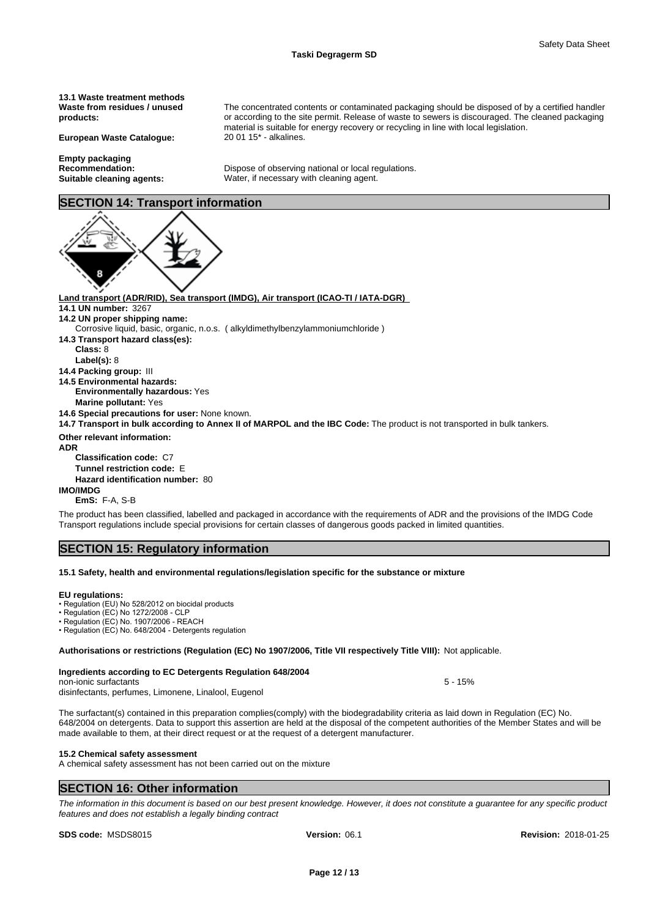The concentrated contents or contaminated packaging should be disposed of by a certified handler or according to the site permit. Release of waste to sewers is discouraged. The cleaned packaging

material is suitable for energy recovery or recycling in line with local legislation.

**13.1 Waste treatment methods Waste from residues / unused products:**

**European Waste Catalogue:** 20 01 15\* - alkalines.

**Empty packaging Recommendation:** Dispose of observing national or local regulations.

# **Suitable cleaning agents:** Water, if necessary with cleaning agent.

# **SECTION 14: Transport information**



**Land transport (ADR/RID), Sea transport (IMDG), Air transport (ICAO-TI / IATA-DGR)** 

- **14.1 UN number:** 3267
- **14.2 UN proper shipping name:**
- Corrosive liquid, basic, organic, n.o.s. ( alkyldimethylbenzylammoniumchloride )
- **14.3 Transport hazard class(es):**
- **Class:** 8
- **Label(s):** 8
- **14.4 Packing group:** III
- **14.5 Environmental hazards:**

**Environmentally hazardous:** Yes

**Marine pollutant:** Yes

**14.6 Special precautions for user:** None known.

**14.7 Transport in bulk according to Annex II of MARPOL and the IBC Code:** The product is not transported in bulk tankers.

**Other relevant information: ADR** 

**Classification code:** C7

**Tunnel restriction code:** E

**Hazard identification number:** 80

**IMO/IMDG**

**EmS:** F-A, S-B

The product has been classified, labelled and packaged in accordance with the requirements of ADR and the provisions of the IMDG Code Transport regulations include special provisions for certain classes of dangerous goods packed in limited quantities.

# **SECTION 15: Regulatory information**

#### **15.1 Safety, health and environmental regulations/legislation specific for the substance or mixture**

#### **EU regulations:**

• Regulation (EU) No 528/2012 on biocidal products

- Regulation (EC) No 1272/2008 CLP
- Regulation (EC) No. 1907/2006 REACH • Regulation (EC) No. 648/2004 - Detergents regulation

**Authorisations or restrictions (Regulation (EC) No 1907/2006, Title VII respectively Title VIII):** Not applicable.

### **Ingredients according to EC Detergents Regulation 648/2004**

non-ionic surfactants **1996 1997 1998 1998 1998 1998 1998 1998 1998 1998 1998 1998 1998 1998 1998 1999 1999 1999 1999 1999 1999 1999 1999 1999 1999 1999 1999 1999 199** 

disinfectants, perfumes, Limonene, Linalool, Eugenol

The surfactant(s) contained in this preparation complies(comply) with the biodegradability criteria as laid down in Regulation (EC) No. 648/2004 on detergents. Data to support this assertion are held at the disposal of the competent authorities of the Member States and will be made available to them, at their direct request or at the request of a detergent manufacturer.

#### **15.2 Chemical safety assessment**

A chemical safety assessment has not been carried out on the mixture

# **SECTION 16: Other information**

*The information in this document is based on our best present knowledge. However, it does not constitute a guarantee for any specific product features and does not establish a legally binding contract*